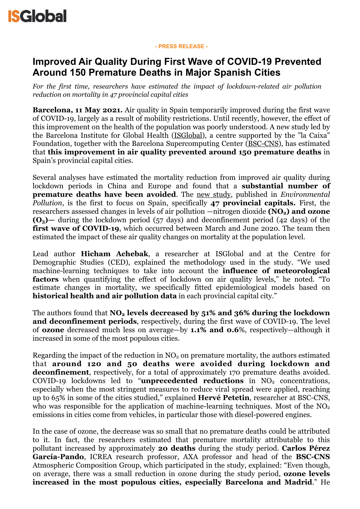

#### **- PRESS RELEASE -**

# **Improved Air Quality During First Wave of COVID-19 Prevented Around 150 Premature Deaths in Major Spanish Cities**

*For the first time, researchers have estimated the impact of lockdown-related air pollution reduction on mortality in 47 provincial capital cities*

**Barcelona, 11 May 2021.** Air quality in Spain temporarily improved during the first wave of COVID-19, largely as a result of mobility restrictions. Until recently, however, the effect of this improvement on the health of the population was poorly understood. A new study led by the Barcelona Institute for Global Health ([ISGlobal](https://www.isglobal.org/en/)), a centre supported by the "la Caixa" Foundation, together with the Barcelona Supercomputing Center ([BSC-CNS](https://www.bsc.es/)), has estimated that **this improvement in air quality prevented around 150 premature deaths** in Spain's provincial capital cities.

Several analyses have estimated the mortality reduction from improved air quality during lockdown periods in China and Europe and found that a **substantial number of premature deaths have been avoided**. The [new study](https://www.sciencedirect.com/science/article/pii/S0269749121008022?via%253Dihub), published in *Environmental Pollution*, is the first to focus on Spain, specifically **47 provincial capitals.** First, the researchers assessed changes in levels of air pollution —nitrogen dioxide **(NO<sub>2</sub>)** and **ozone (O3)—** during the lockdown period (57 days) and deconfinement period (42 days) of the **first wave of COVID-19**, which occurred between March and June 2020. The team then estimated the impact of these air quality changes on mortality at the population level.

Lead author **Hicham Achebak**, a researcher at ISGlobal and at the Centre for Demographic Studies (CED), explained the methodology used in the study. "We used machine-learning techniques to take into account the **influence of meteorological factors** when quantifying the effect of lockdown on air quality levels," he noted. "To estimate changes in mortality, we specifically fitted epidemiological models based on **historical health and air pollution data** in each provincial capital city."

The authors found that **NO<sub>2</sub>** levels decreased by 51% and 36% during the lockdown **and deconfinement periods**, respectively, during the first wave of COVID-19. The level of **ozone** decreased much less on average—by **1.1% and 0.6**%, respectively—although it increased in some of the most populous cities.

Regarding the impact of the reduction in  $NO<sub>2</sub>$  on premature mortality, the authors estimated that **around 120 and 50 deaths were avoided during lockdown and deconfinement**, respectively, for a total of approximately 170 premature deaths avoided. COVID-19 lockdowns led to "**unprecedented reductions** in NO<sub>2</sub> concentrations, especially when the most stringent measures to reduce viral spread were applied, reaching up to 65% in some of the cities studied," explained **Hervé Petetin**, researcher at BSC-CNS, who was responsible for the application of machine-learning techniques. Most of the  $NO<sub>2</sub>$ emissions in cities come from vehicles, in particular those with diesel-powered engines.

In the case of ozone, the decrease was so small that no premature deaths could be attributed to it. In fact, the researchers estimated that premature mortality attributable to this pollutant increased by approximately **20 deaths** during the study period. **Carlos Pérez García-Pando**, ICREA research professor, AXA professor and head of the **BSC-CNS** Atmospheric Composition Group, which participated in the study, explained: "Even though, on average, there was a small reduction in ozone during the study period, **ozone levels increased in the most populous cities, especially Barcelona and Madrid**." He